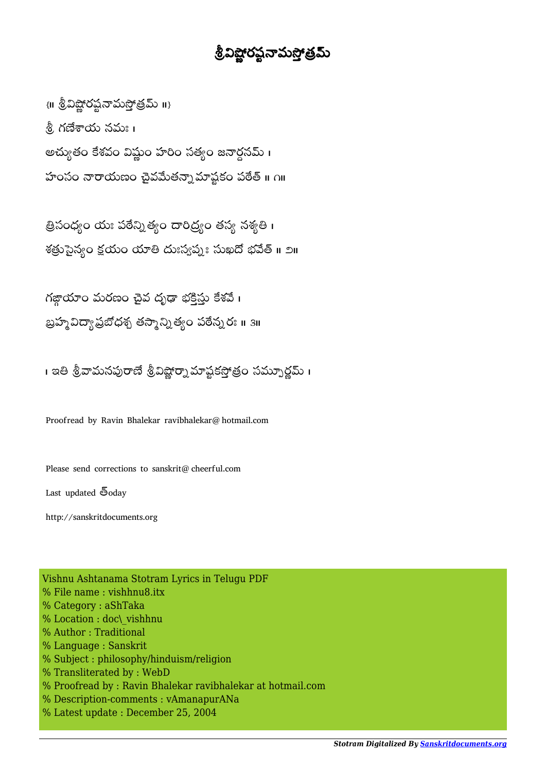## శ్రీవిష్ణోరష్టనామస్తోత్రమ్

 $\{$ III శ్రీవిష్ణోరష్టనామస్తోత్రమ్ II} .శ్రీ, గణేశాయ నమః । అచ్యుతం కేశవం విష్ణుం హరిం సత్యం జనార్ధనమ్ । హంసం నారాయణం చైవమేతన్నామాష్టకం పఠేత్ ॥ ౧॥

త్రిసంధ్యం యః పఠేన్నిత్యం దారిద్ర్యం తస్య నశ్యతి। శత్రుసైన్యం క్షయం యాతి దుఃస్వప్మః సుఖదో భవేత్ ॥ ౨॥

గజ్జాయాం మరణం చైవ దృఢా భక్తిస్తు కేశవే **।** బ్రహ్మ విద్యా ప్రబోధశ్చ తస్మాన్ని త్యం పరేన్నరః ॥ ३॥

। ఇతి శ్రీవామనపురాణే శ్రీవిష్ణార్నా మాష్టకస్తోత్రం సమ్పూర్ణమ్ ।

Proofread by Ravin Bhalekar ravibhalekar@hotmail.com

Please send corrections to sanskrit@cheerful.com

Last updated  $\overline{\mathfrak{S}}$ oday

http://sanskritdocuments.org

Vishnu Ashtanama Stotram Lyrics in Telugu PDF % File name : vishhnu8.itx % Category : aShTaka % Location : doc\\_vishhnu % Author : Traditional % Language : Sanskrit % Subject : philosophy/hinduism/religion % Transliterated by : WebD % Proofread by : Ravin Bhalekar ravibhalekar at hotmail.com % Description-comments : vAmanapurANa % Latest update : December 25, 2004